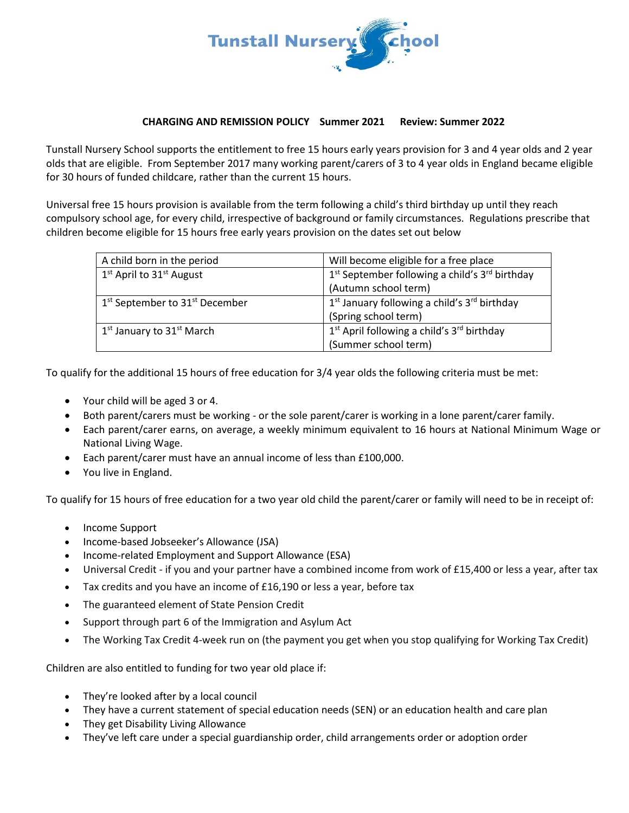

#### **CHARGING AND REMISSION POLICY Summer 2021 Review: Summer 2022**

Tunstall Nursery School supports the entitlement to free 15 hours early years provision for 3 and 4 year olds and 2 year olds that are eligible. From September 2017 many working parent/carers of 3 to 4 year olds in England became eligible for 30 hours of funded childcare, rather than the current 15 hours.

Universal free 15 hours provision is available from the term following a child's third birthday up until they reach compulsory school age, for every child, irrespective of background or family circumstances. Regulations prescribe that children become eligible for 15 hours free early years provision on the dates set out below

| A child born in the period                             | Will become eligible for a free place                                  |
|--------------------------------------------------------|------------------------------------------------------------------------|
| 1 <sup>st</sup> April to 31 <sup>st</sup> August       | 1 <sup>st</sup> September following a child's 3 <sup>rd</sup> birthday |
|                                                        | (Autumn school term)                                                   |
| 1 <sup>st</sup> September to 31 <sup>st</sup> December | $1st$ January following a child's $3rd$ birthday                       |
|                                                        | (Spring school term)                                                   |
| 1 <sup>st</sup> January to 31 <sup>st</sup> March      | 1 <sup>st</sup> April following a child's 3 <sup>rd</sup> birthday     |
|                                                        | (Summer school term)                                                   |

To qualify for the additional 15 hours of free education for 3/4 year olds the following criteria must be met:

- Your child will be aged 3 or 4.
- Both parent/carers must be working or the sole parent/carer is working in a lone parent/carer family.
- Each parent/carer earns, on average, a weekly minimum equivalent to 16 hours at National Minimum Wage or National Living Wage.
- Each parent/carer must have an annual income of less than £100,000.
- You live in England.

To qualify for 15 hours of free education for a two year old child the parent/carer or family will need to be in receipt of:

- Income Support
- Income-based Jobseeker's Allowance (JSA)
- Income-related Employment and Support Allowance (ESA)
- Universal Credit if you and your partner have a combined income from work of £15,400 or less a year, after tax
- Tax credits and you have an income of £16,190 or less a year, before tax
- The guaranteed element of State Pension Credit
- Support through part 6 of the Immigration and Asylum Act
- The Working Tax Credit 4-week run on (the payment you get when you stop qualifying for Working Tax Credit)

Children are also entitled to funding for two year old place if:

- They're looked after by a local council
- They have a current statement o[f special education needs \(SEN\)](https://www.gov.uk/children-with-special-educational-needs) or an education health and care plan
- They get [Disability Living Allowance](https://www.gov.uk/disability-living-allowance-children)
- They've left care under a special guardianship order, child arrangements order or adoption order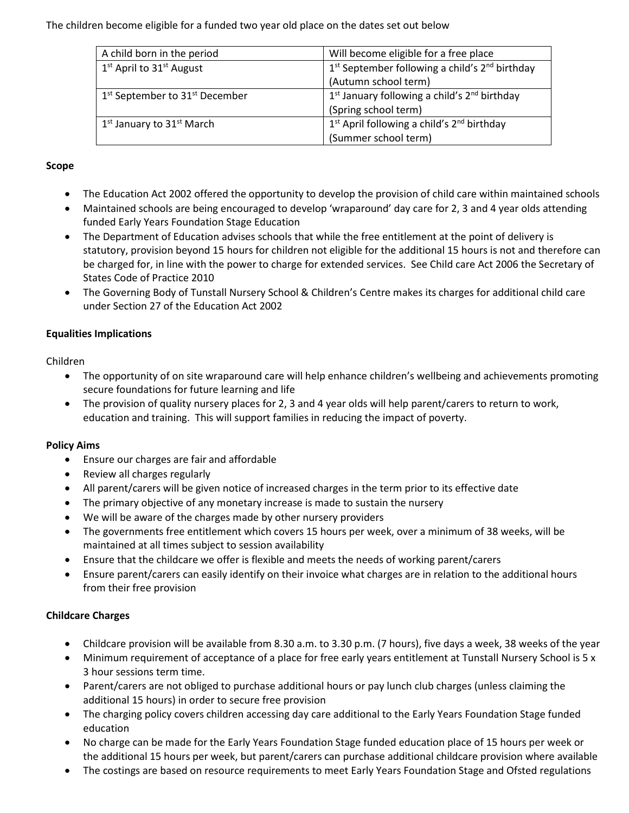The children become eligible for a funded two year old place on the dates set out below

| A child born in the period                             | Will become eligible for a free place                              |
|--------------------------------------------------------|--------------------------------------------------------------------|
| $1st$ April to $31st$ August                           | $1st$ September following a child's $2nd$ birthday                 |
|                                                        | (Autumn school term)                                               |
| 1 <sup>st</sup> September to 31 <sup>st</sup> December | $1st$ January following a child's $2nd$ birthday                   |
|                                                        | (Spring school term)                                               |
| $1st$ January to $31st$ March                          | 1 <sup>st</sup> April following a child's 2 <sup>nd</sup> birthday |
|                                                        | (Summer school term)                                               |

#### **Scope**

- The Education Act 2002 offered the opportunity to develop the provision of child care within maintained schools
- Maintained schools are being encouraged to develop 'wraparound' day care for 2, 3 and 4 year olds attending funded Early Years Foundation Stage Education
- The Department of Education advises schools that while the free entitlement at the point of delivery is statutory, provision beyond 15 hours for children not eligible for the additional 15 hours is not and therefore can be charged for, in line with the power to charge for extended services. See Child care Act 2006 the Secretary of States Code of Practice 2010
- The Governing Body of Tunstall Nursery School & Children's Centre makes its charges for additional child care under Section 27 of the Education Act 2002

## **Equalities Implications**

Children

- The opportunity of on site wraparound care will help enhance children's wellbeing and achievements promoting secure foundations for future learning and life
- The provision of quality nursery places for 2, 3 and 4 year olds will help parent/carers to return to work, education and training. This will support families in reducing the impact of poverty.

#### **Policy Aims**

- Ensure our charges are fair and affordable
- Review all charges regularly
- All parent/carers will be given notice of increased charges in the term prior to its effective date
- The primary objective of any monetary increase is made to sustain the nursery
- We will be aware of the charges made by other nursery providers
- The governments free entitlement which covers 15 hours per week, over a minimum of 38 weeks, will be maintained at all times subject to session availability
- Ensure that the childcare we offer is flexible and meets the needs of working parent/carers
- Ensure parent/carers can easily identify on their invoice what charges are in relation to the additional hours from their free provision

# **Childcare Charges**

- Childcare provision will be available from 8.30 a.m. to 3.30 p.m. (7 hours), five days a week, 38 weeks of the year
- Minimum requirement of acceptance of a place for free early years entitlement at Tunstall Nursery School is 5 x 3 hour sessions term time.
- Parent/carers are not obliged to purchase additional hours or pay lunch club charges (unless claiming the additional 15 hours) in order to secure free provision
- The charging policy covers children accessing day care additional to the Early Years Foundation Stage funded education
- No charge can be made for the Early Years Foundation Stage funded education place of 15 hours per week or the additional 15 hours per week, but parent/carers can purchase additional childcare provision where available
- The costings are based on resource requirements to meet Early Years Foundation Stage and Ofsted regulations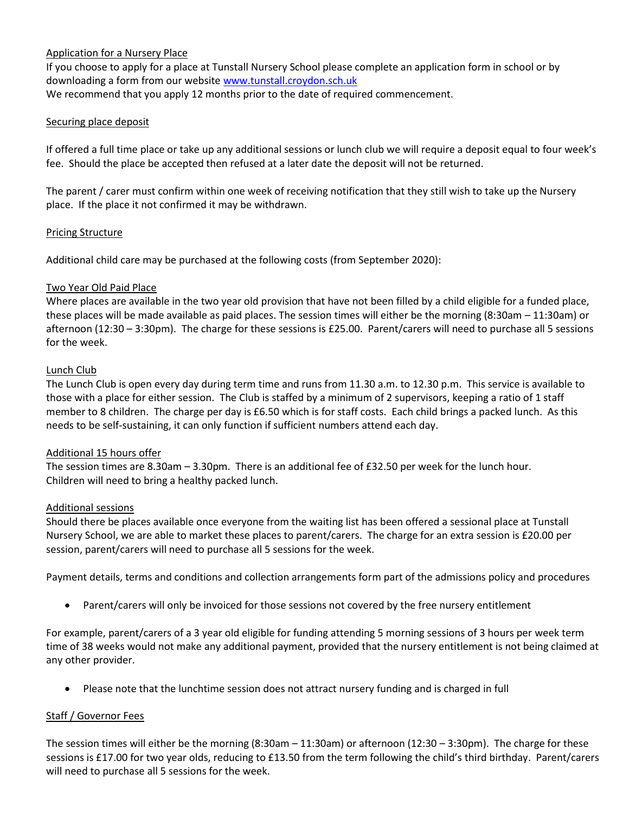## Application for a Nursery Place

If you choose to apply for a place at Tunstall Nursery School please complete an application form in school or by downloading a form from our website [www.tunstall.croydon.sch.uk](http://www.webfronter.com/croydon/tunstall) We recommend that you apply 12 months prior to the date of required commencement.

### Securing place deposit

If offered a full time place or take up any additional sessions or lunch club we will require a deposit equal to four week's fee. Should the place be accepted then refused at a later date the deposit will not be returned.

The parent / carer must confirm within one week of receiving notification that they still wish to take up the Nursery place. If the place it not confirmed it may be withdrawn.

## Pricing Structure

Additional child care may be purchased at the following costs (from September 2020):

## Two Year Old Paid Place

Where places are available in the two year old provision that have not been filled by a child eligible for a funded place, these places will be made available as paid places. The session times will either be the morning (8:30am – 11:30am) or afternoon (12:30 – 3:30pm). The charge for these sessions is £25.00. Parent/carers will need to purchase all 5 sessions for the week.

#### Lunch Club

The Lunch Club is open every day during term time and runs from 11.30 a.m. to 12.30 p.m. This service is available to those with a place for either session. The Club is staffed by a minimum of 2 supervisors, keeping a ratio of 1 staff member to 8 children. The charge per day is £6.50 which is for staff costs. Each child brings a packed lunch. As this needs to be self-sustaining, it can only function if sufficient numbers attend each day.

#### Additional 15 hours offer

The session times are 8.30am – 3.30pm. There is an additional fee of £32.50 per week for the lunch hour. Children will need to bring a healthy packed lunch.

#### Additional sessions

Should there be places available once everyone from the waiting list has been offered a sessional place at Tunstall Nursery School, we are able to market these places to parent/carers. The charge for an extra session is £20.00 per session, parent/carers will need to purchase all 5 sessions for the week.

Payment details, terms and conditions and collection arrangements form part of the admissions policy and procedures

• Parent/carers will only be invoiced for those sessions not covered by the free nursery entitlement

For example, parent/carers of a 3 year old eligible for funding attending 5 morning sessions of 3 hours per week term time of 38 weeks would not make any additional payment, provided that the nursery entitlement is not being claimed at any other provider.

• Please note that the lunchtime session does not attract nursery funding and is charged in full

# Staff / Governor Fees

The session times will either be the morning (8:30am – 11:30am) or afternoon (12:30 – 3:30pm). The charge for these sessions is £17.00 for two year olds, reducing to £13.50 from the term following the child's third birthday. Parent/carers will need to purchase all 5 sessions for the week.